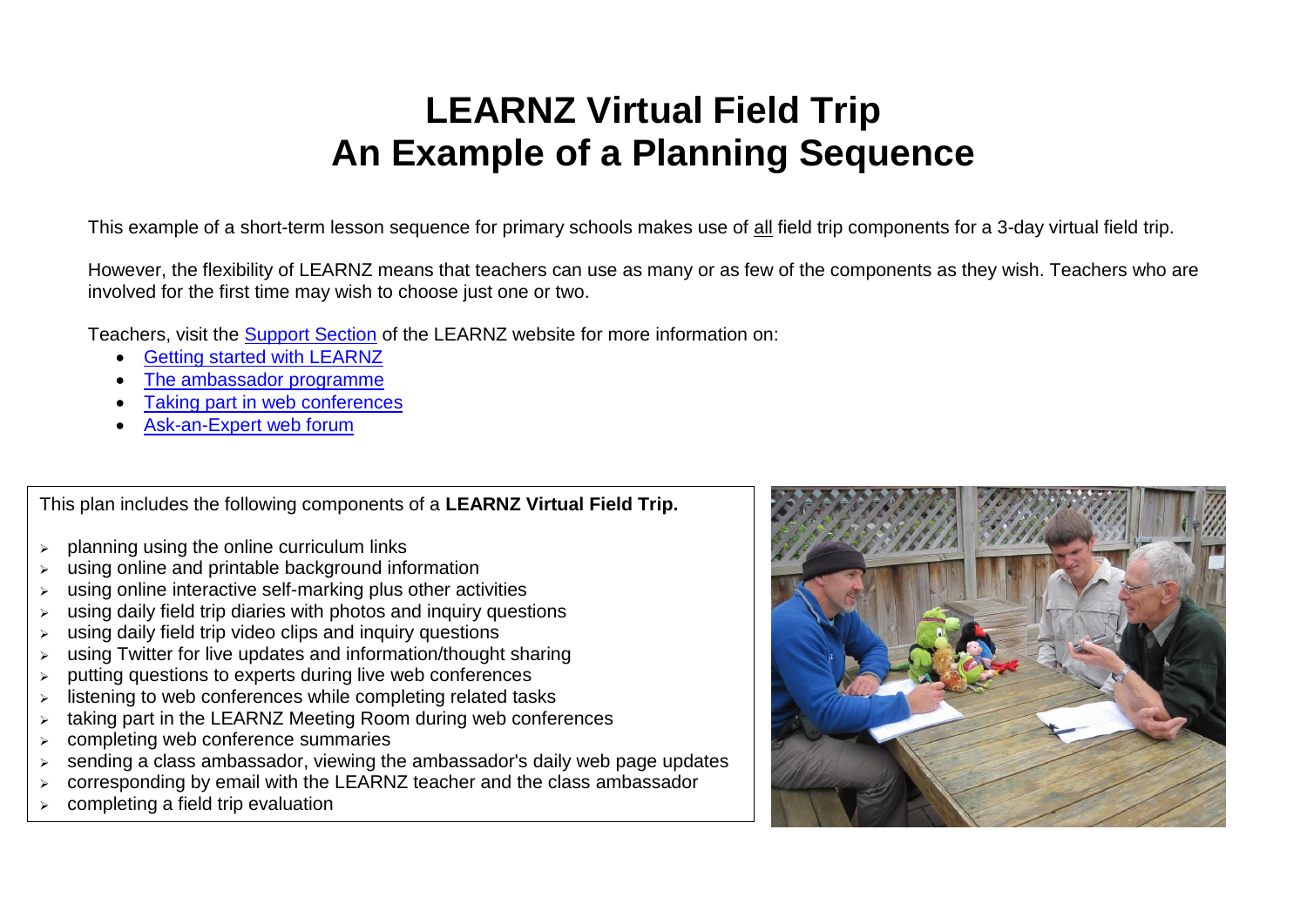## **LEARNZ Virtual Field Trip An Example of a Planning Sequence**

This example of a short-term lesson sequence for primary schools makes use of all field trip components for a 3-day virtual field trip.

However, the flexibility of LEARNZ means that teachers can use as many or as few of the components as they wish. Teachers who are involved for the first time may wish to choose just one or two.

Teachers, visit the [Support Section](http://www.learnz.org.nz/support) of the LEARNZ website for more information on:

- **[Getting started with LEARNZ](http://www.learnz.org.nz/support/getting-started)**
- [The ambassador programme](http://www.learnz.org.nz/support/ambassador-programme)
- [Taking part in web conferences](http://www.learnz.org.nz/support/audioconferences/introduction)
- [Ask-an-Expert web forum](http://www.learnz.org.nz/support/ask-an-expert)

This plan includes the following components of a **LEARNZ Virtual Field Trip.**

- $\geq$  planning using the online curriculum links
- using online and printable background information
- $\triangleright$  using online interactive self-marking plus other activities
- using daily field trip diaries with photos and inquiry questions
- using daily field trip video clips and inquiry questions
- using Twitter for live updates and information/thought sharing
- ➢ putting questions to experts during live web conferences
- ➢ listening to web conferences while completing related tasks
- $\triangleright$  taking part in the LEARNZ Meeting Room during web conferences
- ➢ completing web conference summaries
- $\geq$  sending a class ambassador, viewing the ambassador's daily web page updates
- ➢ corresponding by email with the LEARNZ teacher and the class ambassador
- ➢ completing a field trip evaluation

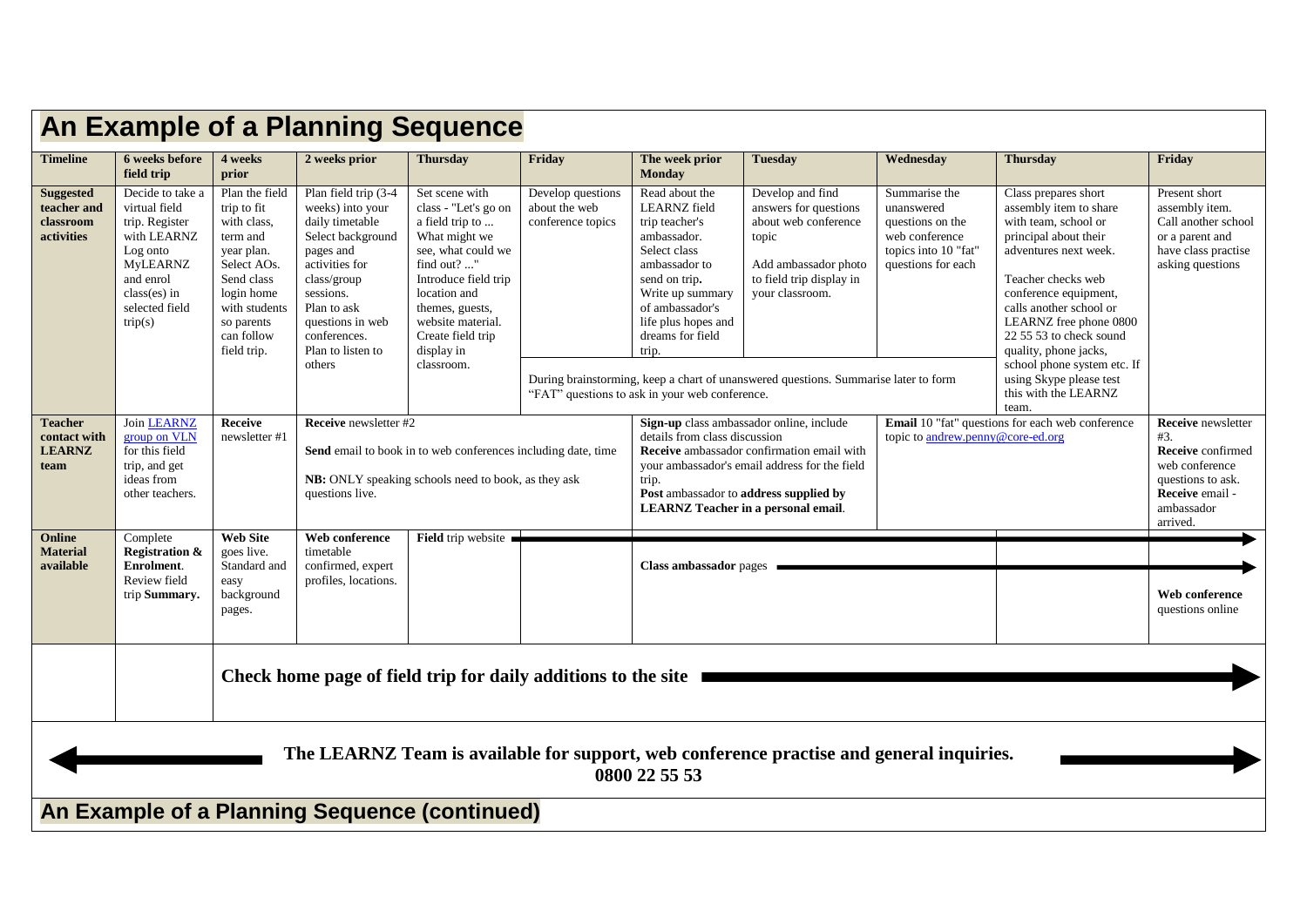| <b>An Example of a Planning Sequence</b>                                                                  |                                                                                                                                                               |                                                                                                                                                                               |                                                                                                                                                                                                                               |                                                                                                                                                                                                                                                  |                                                         |                                                                                                                                                                                                                                                                           |                                                                                                                                                                                                                                          |                                                                                                                 |                                                                                                                                                                                                                                                                                                                                                                    |                                                                                                                                                  |  |
|-----------------------------------------------------------------------------------------------------------|---------------------------------------------------------------------------------------------------------------------------------------------------------------|-------------------------------------------------------------------------------------------------------------------------------------------------------------------------------|-------------------------------------------------------------------------------------------------------------------------------------------------------------------------------------------------------------------------------|--------------------------------------------------------------------------------------------------------------------------------------------------------------------------------------------------------------------------------------------------|---------------------------------------------------------|---------------------------------------------------------------------------------------------------------------------------------------------------------------------------------------------------------------------------------------------------------------------------|------------------------------------------------------------------------------------------------------------------------------------------------------------------------------------------------------------------------------------------|-----------------------------------------------------------------------------------------------------------------|--------------------------------------------------------------------------------------------------------------------------------------------------------------------------------------------------------------------------------------------------------------------------------------------------------------------------------------------------------------------|--------------------------------------------------------------------------------------------------------------------------------------------------|--|
| <b>Timeline</b>                                                                                           | 6 weeks before<br>field trip                                                                                                                                  | 4 weeks<br>prior                                                                                                                                                              | 2 weeks prior                                                                                                                                                                                                                 | <b>Thursday</b>                                                                                                                                                                                                                                  | Friday                                                  | The week prior<br><b>Monday</b>                                                                                                                                                                                                                                           | <b>Tuesday</b>                                                                                                                                                                                                                           | Wednesday                                                                                                       | <b>Thursday</b>                                                                                                                                                                                                                                                                                                                                                    | Friday                                                                                                                                           |  |
| <b>Suggested</b><br>teacher and<br>classroom<br>activities                                                | Decide to take a<br>virtual field<br>trip. Register<br>with LEARNZ<br>Log onto<br><b>MyLEARNZ</b><br>and enrol<br>$class(es)$ in<br>selected field<br>trip(s) | Plan the field<br>trip to fit<br>with class,<br>term and<br>year plan.<br>Select AOs.<br>Send class<br>login home<br>with students<br>so parents<br>can follow<br>field trip. | Plan field trip (3-4<br>weeks) into your<br>daily timetable<br>Select background<br>pages and<br>activities for<br>class/group<br>sessions.<br>Plan to ask<br>questions in web<br>conferences.<br>Plan to listen to<br>others | Set scene with<br>class - "Let's go on<br>a field trip to<br>What might we<br>see, what could we<br>find out? "<br>Introduce field trip<br>location and<br>themes, guests,<br>website material.<br>Create field trip<br>display in<br>classroom. | Develop questions<br>about the web<br>conference topics | Read about the<br><b>LEARNZ</b> field<br>trip teacher's<br>ambassador.<br>Select class<br>ambassador to<br>send on trip.<br>Write up summary<br>of ambassador's<br>life plus hopes and<br>dreams for field<br>trip.<br>"FAT" questions to ask in your web conference.     | Develop and find<br>answers for questions<br>about web conference<br>topic<br>Add ambassador photo<br>to field trip display in<br>vour classroom.<br>During brainstorming, keep a chart of unanswered questions. Summarise later to form | Summarise the<br>unanswered<br>questions on the<br>web conference<br>topics into 10 "fat"<br>questions for each | Class prepares short<br>assembly item to share<br>with team, school or<br>principal about their<br>adventures next week.<br>Teacher checks web<br>conference equipment,<br>calls another school or<br>LEARNZ free phone 0800<br>22 55 53 to check sound<br>quality, phone jacks,<br>school phone system etc. If<br>using Skype please test<br>this with the LEARNZ | Present short<br>assembly item.<br>Call another school<br>or a parent and<br>have class practise<br>asking questions                             |  |
| <b>Teacher</b><br>contact with<br><b>LEARNZ</b><br>team                                                   | <b>Join LEARNZ</b><br>group on VLN<br>for this field<br>trip, and get<br>ideas from<br>other teachers.                                                        | <b>Receive</b><br>newsletter #1                                                                                                                                               | <b>Receive</b> newsletter #2<br>questions live.                                                                                                                                                                               | Send email to book in to web conferences including date, time<br>NB: ONLY speaking schools need to book, as they ask                                                                                                                             |                                                         | Sign-up class ambassador online, include<br>details from class discussion<br>Receive ambassador confirmation email with<br>your ambassador's email address for the field<br>trip.<br>Post ambassador to address supplied by<br><b>LEARNZ</b> Teacher in a personal email. |                                                                                                                                                                                                                                          | team.<br>Email 10 "fat" questions for each web conference<br>topic to andrew.penny@core-ed.org                  |                                                                                                                                                                                                                                                                                                                                                                    | <b>Receive</b> newsletter<br>#3.<br><b>Receive</b> confirmed<br>web conference<br>questions to ask.<br>Receive email -<br>ambassador<br>arrived. |  |
| Online<br><b>Material</b><br>available                                                                    | Complete<br><b>Registration &amp;</b><br>Enrolment.<br>Review field<br>trip Summary.                                                                          | <b>Web Site</b><br>goes live.<br>Standard and<br>easy<br>background<br>pages.                                                                                                 | Web conference<br>timetable<br>confirmed, expert<br>profiles, locations.                                                                                                                                                      | Field trip website                                                                                                                                                                                                                               |                                                         | <b>Class ambassador</b> pages                                                                                                                                                                                                                                             |                                                                                                                                                                                                                                          |                                                                                                                 |                                                                                                                                                                                                                                                                                                                                                                    | Web conference<br>questions online                                                                                                               |  |
|                                                                                                           | Check home page of field trip for daily additions to the site                                                                                                 |                                                                                                                                                                               |                                                                                                                                                                                                                               |                                                                                                                                                                                                                                                  |                                                         |                                                                                                                                                                                                                                                                           |                                                                                                                                                                                                                                          |                                                                                                                 |                                                                                                                                                                                                                                                                                                                                                                    |                                                                                                                                                  |  |
| The LEARNZ Team is available for support, web conference practise and general inquiries.<br>0800 22 55 53 |                                                                                                                                                               |                                                                                                                                                                               |                                                                                                                                                                                                                               |                                                                                                                                                                                                                                                  |                                                         |                                                                                                                                                                                                                                                                           |                                                                                                                                                                                                                                          |                                                                                                                 |                                                                                                                                                                                                                                                                                                                                                                    |                                                                                                                                                  |  |
| An Example of a Planning Sequence (continued)                                                             |                                                                                                                                                               |                                                                                                                                                                               |                                                                                                                                                                                                                               |                                                                                                                                                                                                                                                  |                                                         |                                                                                                                                                                                                                                                                           |                                                                                                                                                                                                                                          |                                                                                                                 |                                                                                                                                                                                                                                                                                                                                                                    |                                                                                                                                                  |  |